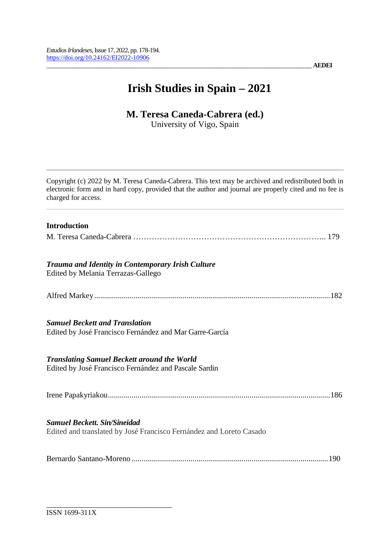\_\_\_\_\_\_\_\_\_\_\_\_\_\_\_\_\_\_\_\_\_\_\_\_\_\_\_\_\_\_\_\_\_\_\_\_\_\_\_\_\_\_\_\_\_\_\_\_\_\_\_\_\_\_\_\_\_\_\_\_\_\_\_\_\_\_\_\_\_\_\_\_\_\_\_\_\_\_\_\_\_\_\_\_\_\_\_\_\_\_ **AEDEI**

# **Irish Studies in Spain – 2021**

## **M. Teresa Caneda-Cabrera (ed.)**

University of Vigo, Spain

| Copyright (c) 2022 by M. Teresa Caneda-Cabrera. This text may be archived and redistributed both in<br>electronic form and in hard copy, provided that the author and journal are properly cited and no fee is<br>charged for access. |
|---------------------------------------------------------------------------------------------------------------------------------------------------------------------------------------------------------------------------------------|
| <b>Introduction</b>                                                                                                                                                                                                                   |
|                                                                                                                                                                                                                                       |
| <b>Trauma and Identity in Contemporary Irish Culture</b><br>Edited by Melania Terrazas-Gallego                                                                                                                                        |
|                                                                                                                                                                                                                                       |
| <b>Samuel Beckett and Translation</b><br>Edited by José Francisco Fernández and Mar Garre-García                                                                                                                                      |
| <b>Translating Samuel Beckett around the World</b><br>Edited by José Francisco Fernández and Pascale Sardin                                                                                                                           |
|                                                                                                                                                                                                                                       |
| <b>Samuel Beckett, Sin/Sineidad</b><br>Edited and translated by José Francisco Fernández and Loreto Casado                                                                                                                            |
|                                                                                                                                                                                                                                       |

\_\_\_\_\_\_\_\_\_\_\_\_\_\_\_\_\_\_\_\_\_\_\_\_\_\_\_\_\_\_\_\_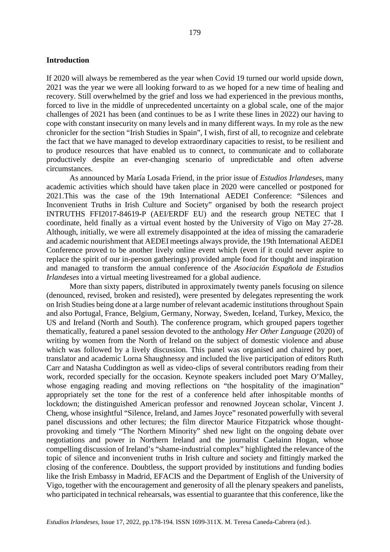#### **Introduction**

If 2020 will always be remembered as the year when Covid 19 turned our world upside down, 2021 was the year we were all looking forward to as we hoped for a new time of healing and recovery. Still overwhelmed by the grief and loss we had experienced in the previous months, forced to live in the middle of unprecedented uncertainty on a global scale, one of the major challenges of 2021 has been (and continues to be as I write these lines in 2022) our having to cope with constant insecurity on many levels and in many different ways. In my role as the new chronicler for the section "Irish Studies in Spain", I wish, first of all, to recognize and celebrate the fact that we have managed to develop extraordinary capacities to resist, to be resilient and to produce resources that have enabled us to connect, to communicate and to collaborate productively despite an ever-changing scenario of unpredictable and often adverse circumstances.

As announced by María Losada Friend, in the prior issue of *Estudios Irlandeses*, many academic activities which should have taken place in 2020 were cancelled or postponed for 2021.This was the case of the 19th International AEDEI Conference: "Silences and Inconvenient Truths in Irish Culture and Society" organised by both the research project INTRUTHS FFI2017-84619-P (AEI/ERDF EU) and the research group NETEC that I coordinate, held finally as a virtual event hosted by the University of Vigo on May 27-28. Although, initially, we were all extremely disappointed at the idea of missing the camaraderie and academic nourishment that AEDEI meetings always provide, the 19th International AEDEI Conference proved to be another lively online event which (even if it could never aspire to replace the spirit of our in-person gatherings) provided ample food for thought and inspiration and managed to transform the annual conference of the *Asociación Española de Estudios Irlandeses* into a virtual meeting livestreamed for a global audience.

More than sixty papers, distributed in approximately twenty panels focusing on silence (denounced, revised, broken and resisted), were presented by delegates representing the work on Irish Studies being done at a large number of relevant academic institutions throughout Spain and also Portugal, France, Belgium, Germany, Norway, Sweden, Iceland, Turkey, Mexico, the US and Ireland (North and South). The conference program, which grouped papers together thematically*,* featured a panel session devoted to the anthology *Her Other Language* (2020) of writing by women from the North of Ireland on the subject of domestic violence and abuse which was followed by a lively discussion. This panel was organised and chaired by poet, translator and academic Lorna Shaughnessy and included the live participation of editors Ruth Carr and Natasha Cuddington as well as video-clips of several contributors reading from their work, recorded specially for the occasion. Keynote speakers included poet Mary O'Malley, whose engaging reading and moving reflections on "the hospitality of the imagination" appropriately set the tone for the rest of a conference held after inhospitable months of lockdown; the distinguished American professor and renowned Joycean scholar, Vincent J. Cheng, whose insightful "Silence, Ireland, and James Joyce" resonated powerfully with several panel discussions and other lectures; the film director Maurice Fitzpatrick whose thoughtprovoking and timely "The Northern Minority" shed new light on the ongoing debate over negotiations and power in Northern Ireland and the journalist Caelainn Hogan, whose compelling discussion of Ireland's "shame-industrial complex" highlighted the relevance of the topic of silence and inconvenient truths in Irish culture and society and fittingly marked the closing of the conference. Doubtless, the support provided by institutions and funding bodies like the Irish Embassy in Madrid, EFACIS and the Department of English of the University of Vigo, together with the encouragement and generosity of all the plenary speakers and panelists, who participated in technical rehearsals, was essential to guarantee that this conference, like the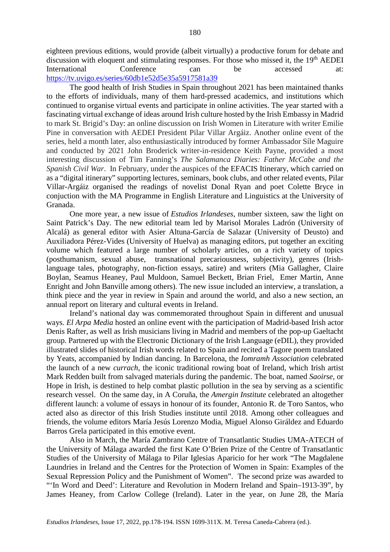eighteen previous editions, would provide (albeit virtually) a productive forum for debate and discussion with eloquent and stimulating responses. For those who missed it, the 19<sup>th</sup> AEDEI International Conference can be accessed at: <https://tv.uvigo.es/series/60db1e52d5e35a5917581a39>

The good health of Irish Studies in Spain throughout 2021 has been maintained thanks to the efforts of individuals, many of them hard-pressed academics, and institutions which continued to organise virtual events and participate in online activities. The year started with a fascinating virtual exchange of ideas around Irish culture hosted by the Irish Embassy in Madrid to mark St. Brigid's Day: an online discussion on Irish Women in Literature with writer Emilie Pine in conversation with AEDEI President Pilar Villar Argáiz. Another online event of the series, held a month later, also enthusiastically introduced by former Ambassador Síle Maguire and conducted by 2021 John Broderick writer-in-residence Keith Payne, provided a most interesting discussion of Tim Fanning's *The Salamanca Diaries: Father McCabe and the Spanish Civil War*. In February, under the auspices of the EFACIS Itinerary, which carried on as a "digital itinerary" supporting lectures, seminars, book clubs, and other related events, Pilar Villar-Argáiz organised the readings of novelist Donal Ryan and poet Colette Bryce in conjuction with the MA Programme in English Literature and Linguistics at the University of Granada.

One more year, a new issue of *Estudios Irlandeses*, number sixteen, saw the light on Saint Patrick's Day. The new editorial team led by Marisol Morales Ladrón (University of Alcalá) as general editor with Asier Altuna-García de Salazar (University of Deusto) and Auxiliadora Pérez-Vides (University of Huelva) as managing editors, put together an exciting volume which featured a large number of scholarly articles, on a rich variety of topics (posthumanism, sexual abuse, transnational precariousness, subjectivity), genres (Irishlanguage tales, photography, non-fiction essays, satire) and writers (Mia Gallagher, Claire Boylan, Seamus Heaney, Paul Muldoon, Samuel Beckett, Brian Friel, Emer Martin, Anne Enright and John Banville among others). The new issue included an interview, a translation, a think piece and the year in review in Spain and around the world, and also a new section, an annual report on literary and cultural events in Ireland.

Ireland's national day was commemorated throughout Spain in different and unusual ways. *El Arpa Media* hosted an online event with the participation of Madrid-based Irish actor Denis Rafter, as well as Irish musicians living in Madrid and members of the pop-up Gaeltacht group. Partnered up with the Electronic Dictionary of the Irish Language (eDIL), they provided illustrated slides of historical Irish words related to Spain and recited a Tagore poem translated by Yeats, accompanied by Indian dancing. In Barcelona, the *Iomramh Association* celebrated the launch of a new *currach*, the iconic traditional rowing boat of Ireland, which Irish artist Mark Redden built from salvaged materials during the pandemic. The boat, named *Saoirse*, or Hope in Irish, is destined to help combat plastic pollution in the sea by serving as a scientific research vessel. On the same day, in A Coruña, the *Amergin Institute* celebrated an altogether different launch: a volume of essays in honour of its founder, Antonio R. de Toro Santos, who acted also as director of this Irish Studies institute until 2018. Among other colleagues and friends, the volume editors María Jesús Lorenzo Modia, Miguel Alonso Giráldez and Eduardo Barros Grela participated in this emotive event.

Also in March, the María Zambrano Centre of Transatlantic Studies UMA-ATECH of the University of Málaga awarded the first Kate O'Brien Prize of the Centre of Transatlantic Studies of the University of Málaga to Pilar Iglesias Aparicio for her work "The Magdalene Laundries in Ireland and the Centres for the Protection of Women in Spain: Examples of the Sexual Repression Policy and the Punishment of Women". The second prize was awarded to "'In Word and Deed': Literature and Revolution in Modern Ireland and Spain–1913-39", by James Heaney, from Carlow College (Ireland). Later in the year, on June 28, the María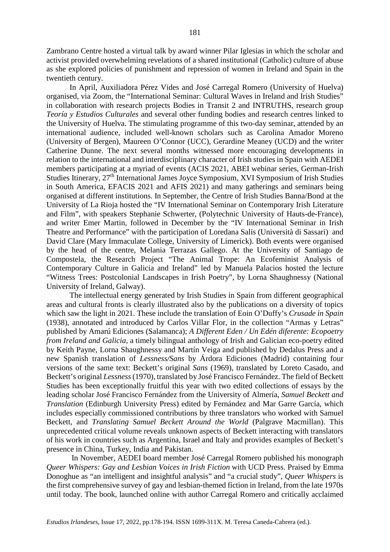Zambrano Centre hosted a virtual talk by award winner Pilar Iglesias in which the scholar and activist provided overwhelming revelations of a shared institutional (Catholic) culture of abuse as she explored policies of punishment and repression of women in Ireland and Spain in the twentieth century.

In April, Auxiliadora Pérez Vides and José Carregal Romero (University of Huelva) organised, via Zoom, the "International Seminar: Cultural Waves in Ireland and Irish Studies" in collaboration with research projects Bodies in Transit 2 and INTRUTHS, research group *Teoría y Estudios Culturales* and several other funding bodies and research centres linked to the University of Huelva. The stimulating programme of this two-day seminar, attended by an international audience, included well-known scholars such as Carolina Amador Moreno (University of Bergen), Maureen O'Connor (UCC), Gerardine Meaney (UCD) and the writer Catherine Dunne. The next several months witnessed more encouraging developments in relation to the international and interdisciplinary character of Irish studies in Spain with AEDEI members participating at a myriad of events (ACIS 2021, ABEI webinar series, German-Irish Studies Itinerary, 27th International James Joyce Symposium, XVI Symposium of Irish Studies in South America, EFACIS 2021 and AFIS 2021) and many gatherings and seminars being organised at different institutions. In September, the Centre of Irish Studies Banna/Bond at the University of La Rioja hosted the "IV International Seminar on Contemporary Irish Literature and Film", with speakers Stephanie Schwerter, (Polytechnic University of Hauts-de-France), and writer Emer Martin, followed in December by the "IV International Seminar in Irish Theatre and Performance" with the participation of Loredana Salis (Università di Sassari) and David Clare (Mary Immaculate College, University of Limerick). Both events were organised by the head of the centre, Melania Terrazas Gallego. At the University of Santiago de Compostela, the Research Project "The Animal Trope: An Ecofeminist Analysis of Contemporary Culture in Galicia and Ireland" led by Manuela Palacios hosted the lecture "Witness Trees: Postcolonial Landscapes in Irish Poetry", by Lorna Shaughnessy (National University of Ireland, Galway).

The intellectual energy generated by Irish Studies in Spain from different geographical areas and cultural fronts is clearly illustrated also by the publications on a diversity of topics which saw the light in 2021. These include the translation of Eoin O'Duffy's *Crusade in Spain* (1938), annotated and introduced by Carlos Villar Flor, in the collection "Armas y Letras" published by Amarú Ediciones (Salamanca); *A Different Eden / Un Edén diferente: Ecopoetry from Ireland and Galicia*, a timely bilingual anthology of Irish and Galician eco-poetry edited by Keith Payne, Lorna Shaughnessy and Martín Veiga and published by Dedalus Press and a new Spanish translation of *Lessness/Sans* by Árdora Ediciones (Madrid) containing four versions of the same text: Beckett's original *Sans* (1969), translated by Loreto Casado, and Beckett's original *Lessness*(1970), translated by José Francisco Fernández. The field of Beckett Studies has been exceptionally fruitful this year with two edited collections of essays by the leading scholar José Francisco Fernández from the University of Almería, *Samuel Beckett and Translation* (Edinburgh University Press) edited by Fernández and Mar Garre García, which includes especially commissioned contributions by three translators who worked with Samuel Beckett, and *Translating Samuel Beckett Around the World* (Palgrave Macmillan). This unprecedented critical volume reveals unknown aspects of Beckett interacting with translators of his work in countries such as Argentina, Israel and Italy and provides examples of Beckett's presence in China, Turkey, India and Pakistan.

In November, AEDEI board member José Carregal Romero published his monograph *Queer Whispers: Gay and Lesbian Voices in Irish Fiction* with UCD Press. Praised by Emma Donoghue as "an intelligent and insightful analysis" and "a crucial study", *Queer Whispers* is the first comprehensive survey of gay and lesbian-themed fiction in Ireland, from the late 1970s until today. The book, launched online with author Carregal Romero and critically acclaimed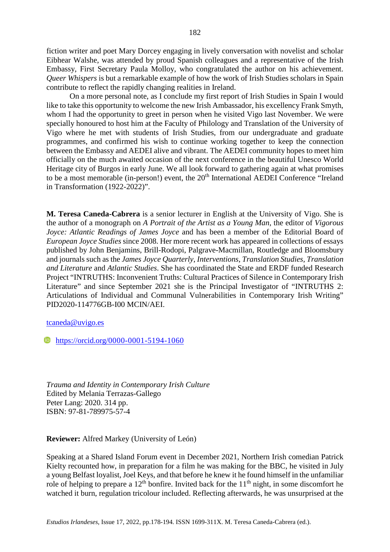fiction writer and poet Mary Dorcey engaging in lively conversation with novelist and scholar Eibhear Walshe, was attended by proud Spanish colleagues and a representative of the Irish Embassy, First Secretary Paula Molloy, who congratulated the author on his achievement. *Queer Whispers* is but a remarkable example of how the work of Irish Studies scholars in Spain contribute to reflect the rapidly changing realities in Ireland.

On a more personal note, as I conclude my first report of Irish Studies in Spain I would like to take this opportunity to welcome the new Irish Ambassador, his excellency Frank Smyth, whom I had the opportunity to greet in person when he visited Vigo last November. We were specially honoured to host him at the Faculty of Philology and Translation of the University of Vigo where he met with students of Irish Studies, from our undergraduate and graduate programmes, and confirmed his wish to continue working together to keep the connection between the Embassy and AEDEI alive and vibrant. The AEDEI community hopes to meet him officially on the much awaited occasion of the next conference in the beautiful Unesco World Heritage city of Burgos in early June. We all look forward to gathering again at what promises to be a most memorable (in-person!) event, the 20<sup>th</sup> International AEDEI Conference "Ireland in Transformation (1922-2022)".

**M. Teresa Caneda-Cabrera** is a senior lecturer in English at the University of Vigo. She is the author of a monograph on *A Portrait of the Artist as a Young Man*, the editor of *Vigorous Joyce: Atlantic Readings of James Joyce* and has been a member of the Editorial Board of *European Joyce Studies* since 2008. Her more recent work has appeared in collections of essays published by John Benjamins, Brill-Rodopi, Palgrave-Macmillan, Routledge and Bloomsbury and journals such as the *James Joyce Quarterly*, *Interventions*, *Translation Studies, Translation and Literature* and *Atlantic Studies*. She has coordinated the State and ERDF funded Research Project "INTRUTHS: Inconvenient Truths: Cultural Practices of Silence in Contemporary Irish Literature" and since September 2021 she is the Principal Investigator of "INTRUTHS 2: Articulations of Individual and Communal Vulnerabilities in Contemporary Irish Writing" PID2020-114776GB-I00 MCIN/AEI.

[tcaneda@uvigo.es](mailto:tcaneda@uvigo.es)

**<https://orcid.org/0000-0001-5194-1060>** 

*Trauma and Identity in Contemporary Irish Culture* Edited by Melania Terrazas-Gallego Peter Lang: 2020. 314 pp. ISBN: 97-81-789975-57-4

**Reviewer:** Alfred Markey (University of León)

Speaking at a Shared Island Forum event in December 2021, Northern Irish comedian Patrick Kielty recounted how, in preparation for a film he was making for the BBC, he visited in July a young Belfast loyalist, Joel Keys, and that before he knew it he found himself in the unfamiliar role of helping to prepare a  $12<sup>th</sup>$  bonfire. Invited back for the  $11<sup>th</sup>$  night, in some discomfort he watched it burn, regulation tricolour included. Reflecting afterwards, he was unsurprised at the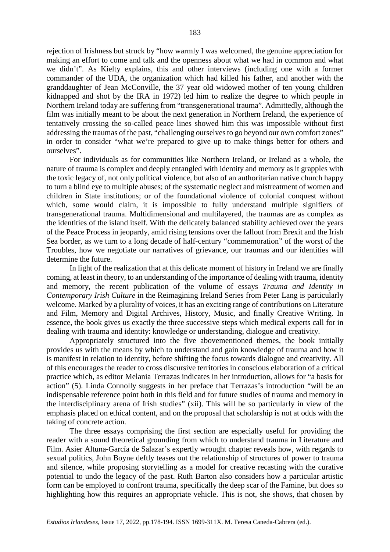rejection of Irishness but struck by "how warmly I was welcomed, the genuine appreciation for making an effort to come and talk and the openness about what we had in common and what we didn't". As Kielty explains, this and other interviews (including one with a former commander of the UDA, the organization which had killed his father, and another with the granddaughter of Jean McConville, the 37 year old widowed mother of ten young children kidnapped and shot by the IRA in 1972) led him to realize the degree to which people in Northern Ireland today are suffering from "transgenerational trauma". Admittedly, although the film was initially meant to be about the next generation in Northern Ireland, the experience of tentatively crossing the so-called peace lines showed him this was impossible without first addressing the traumas of the past, "challenging ourselves to go beyond our own comfort zones" in order to consider "what we're prepared to give up to make things better for others and ourselves".

For individuals as for communities like Northern Ireland, or Ireland as a whole, the nature of trauma is complex and deeply entangled with identity and memory as it grapples with the toxic legacy of, not only political violence, but also of an authoritarian native church happy to turn a blind eye to multiple abuses; of the systematic neglect and mistreatment of women and children in State institutions; or of the foundational violence of colonial conquest without which, some would claim, it is impossible to fully understand multiple signifiers of transgenerational trauma. Multidimensional and multilayered, the traumas are as complex as the identities of the island itself. With the delicately balanced stability achieved over the years of the Peace Process in jeopardy, amid rising tensions over the fallout from Brexit and the Irish Sea border, as we turn to a long decade of half-century "commemoration" of the worst of the Troubles, how we negotiate our narratives of grievance, our traumas and our identities will determine the future.

In light of the realization that at this delicate moment of history in Ireland we are finally coming, at least in theory, to an understanding of the importance of dealing with trauma, identity and memory, the recent publication of the volume of essays *Trauma and Identity in Contemporary Irish Culture* in the Reimagining Ireland Series from Peter Lang is particularly welcome. Marked by a plurality of voices, it has an exciting range of contributions on Literature and Film, Memory and Digital Archives, History, Music, and finally Creative Writing. In essence, the book gives us exactly the three successive steps which medical experts call for in dealing with trauma and identity: knowledge or understanding, dialogue and creativity.

Appropriately structured into the five abovementioned themes, the book initially provides us with the means by which to understand and gain knowledge of trauma and how it is manifest in relation to identity, before shifting the focus towards dialogue and creativity. All of this encourages the reader to cross discursive territories in conscious elaboration of a critical practice which, as editor Melania Terrazas indicates in her introduction, allows for "a basis for action" (5). Linda Connolly suggests in her preface that Terrazas's introduction "will be an indispensable reference point both in this field and for future studies of trauma and memory in the interdisciplinary arena of Irish studies" (xii). This will be so particularly in view of the emphasis placed on ethical content, and on the proposal that scholarship is not at odds with the taking of concrete action.

The three essays comprising the first section are especially useful for providing the reader with a sound theoretical grounding from which to understand trauma in Literature and Film. Asier Altuna-García de Salazar's expertly wrought chapter reveals how, with regards to sexual politics, John Boyne deftly teases out the relationship of structures of power to trauma and silence, while proposing storytelling as a model for creative recasting with the curative potential to undo the legacy of the past. Ruth Barton also considers how a particular artistic form can be employed to confront trauma, specifically the deep scar of the Famine, but does so highlighting how this requires an appropriate vehicle. This is not, she shows, that chosen by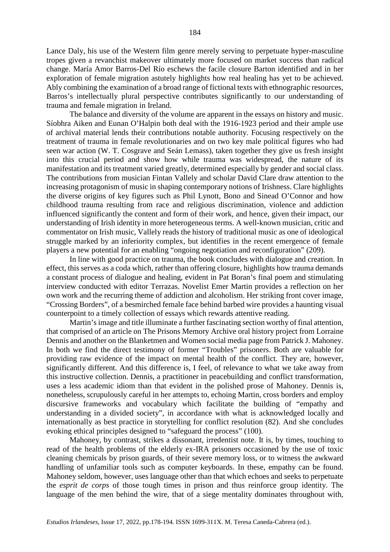184

exploration of female migration astutely highlights how real healing has yet to be achieved. Ably combining the examination of a broad range of fictional texts with ethnographic resources, Barros's intellectually plural perspective contributes significantly to our understanding of trauma and female migration in Ireland.

The balance and diversity of the volume are apparent in the essays on history and music. Síobhra Aiken and Eunan O'Halpin both deal with the 1916-1923 period and their ample use of archival material lends their contributions notable authority. Focusing respectively on the treatment of trauma in female revolutionaries and on two key male political figures who had seen war action (W. T. Cosgrave and Seán Lemass), taken together they give us fresh insight into this crucial period and show how while trauma was widespread, the nature of its manifestation and its treatment varied greatly, determined especially by gender and social class. The contributions from musician Fintan Vallely and scholar David Clare draw attention to the increasing protagonism of music in shaping contemporary notions of Irishness. Clare highlights the diverse origins of key figures such as Phil Lynott, Bono and Sinead O'Connor and how childhood trauma resulting from race and religious discrimination, violence and addiction influenced significantly the content and form of their work, and hence, given their impact, our understanding of Irish identity in more heterogeneous terms. A well-known musician, critic and commentator on Irish music, Vallely reads the history of traditional music as one of ideological struggle marked by an inferiority complex, but identifies in the recent emergence of female players a new potential for an enabling "ongoing negotiation and reconfiguration" (209).

In line with good practice on trauma, the book concludes with dialogue and creation. In effect, this serves as a coda which, rather than offering closure, highlights how trauma demands a constant process of dialogue and healing, evident in Pat Boran's final poem and stimulating interview conducted with editor Terrazas. Novelist Emer Martin provides a reflection on her own work and the recurring theme of addiction and alcoholism. Her striking front cover image, "Crossing Borders", of a besmirched female face behind barbed wire provides a haunting visual counterpoint to a timely collection of essays which rewards attentive reading.

Martin's image and title illuminate a further fascinating section worthy of final attention, that comprised of an article on The Prisons Memory Archive oral history project from Lorraine Dennis and another on the Blanketmen and Women social media page from Patrick J. Mahoney. In both we find the direct testimony of former "Troubles" prisoners. Both are valuable for providing raw evidence of the impact on mental health of the conflict. They are, however, significantly different. And this difference is, I feel, of relevance to what we take away from this instructive collection. Dennis, a practitioner in peacebuilding and conflict transformation, uses a less academic idiom than that evident in the polished prose of Mahoney. Dennis is, nonetheless, scrupulously careful in her attempts to, echoing Martin, cross borders and employ discursive frameworks and vocabulary which facilitate the building of "empathy and understanding in a divided society", in accordance with what is acknowledged locally and internationally as best practice in storytelling for conflict resolution (82). And she concludes evoking ethical principles designed to "safeguard the process" (100).

Mahoney, by contrast, strikes a dissonant, irredentist note. It is, by times, touching to read of the health problems of the elderly ex-IRA prisoners occasioned by the use of toxic cleaning chemicals by prison guards, of their severe memory loss, or to witness the awkward handling of unfamiliar tools such as computer keyboards. In these, empathy can be found. Mahoney seldom, however, uses language other than that which echoes and seeks to perpetuate the *esprit de corps* of those tough times in prison and thus reinforce group identity. The language of the men behind the wire, that of a siege mentality dominates throughout with,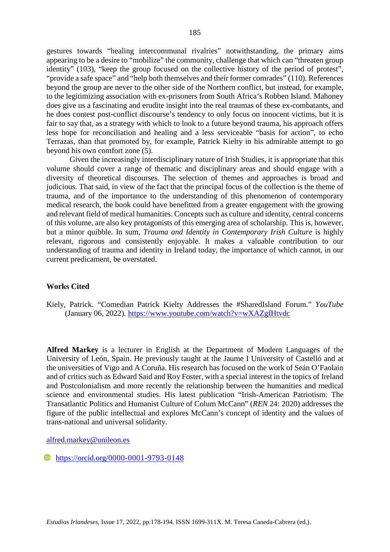gestures towards "healing intercommunal rivalries" notwithstanding, the primary aims appearing to be a desire to "mobilize" the community, challenge that which can "threaten group identity" (103), "keep the group focused on the collective history of the period of protest", "provide a safe space" and "help both themselves and their former comrades" (110). References beyond the group are never to the other side of the Northern conflict, but instead, for example, to the legitimizing association with ex-prisoners from South Africa's Robben Island. Mahoney does give us a fascinating and erudite insight into the real traumas of these ex-combatants, and he does contest post-conflict discourse's tendency to only focus on innocent victims, but it is fair to say that, as a strategy with which to look to a future beyond trauma, his approach offers less hope for reconciliation and healing and a less serviceable "basis for action", to echo Terrazas, than that promoted by, for example, Patrick Kielty in his admirable attempt to go beyond his own comfort zone (5).

Given the increasingly interdisciplinary nature of Irish Studies, it is appropriate that this volume should cover a range of thematic and disciplinary areas and should engage with a diversity of theoretical discourses. The selection of themes and approaches is broad and judicious. That said, in view of the fact that the principal focus of the collection is the theme of trauma, and of the importance to the understanding of this phenomenon of contemporary medical research, the book could have benefitted from a greater engagement with the growing and relevant field of medical humanities. Concepts such as culture and identity, central concerns of this volume, are also key protagonists of this emerging area of scholarship. This is, however, but a minor quibble. In sum, *Trauma and Identity in Contemporary Irish Culture* is highly relevant, rigorous and consistently enjoyable. It makes a valuable contribution to our understanding of trauma and identity in Ireland today, the importance of which cannot, in our current predicament, be overstated.

#### **Works Cited**

Kiely, Patrick. "Comedian Patrick Kielty Addresses the #SharedIsland Forum." *YouTube*  (January 06, 2022)*.* <https://www.youtube.com/watch?v=wXAZgfHtvdc>

**Alfred Markey** is a lecturer in English at the Department of Modern Languages of the University of León, Spain. He previously taught at the Jaume I University of Castelló and at the universities of Vigo and A Coruña. His research has focused on the work of Seán O'Faolain and of critics such as Edward Said and Roy Foster, with a special interest in the topics of Ireland and Postcolonialism and more recently the relationship between the humanities and medical science and environmental studies. His latest publication "Irish-American Patriotism: The Transatlantic Politics and Humanist Culture of Colum McCann" (*REN* 24: 2020) addresses the figure of the public intellectual and explores McCann's concept of identity and the values of trans-national and universal solidarity.

[alfred.markey@unileon.es](mailto:alfred.markey@unileon.es)

**b** <https://orcid.org/0000-0001-9793-0148>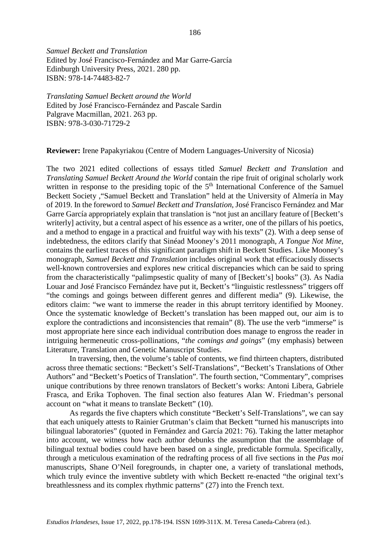*Samuel Beckett and Translation* Edited by José Francisco-Fernández and Mar Garre-García Edinburgh University Press, 2021. 280 pp. ISBN: 978-14-74483-82-7

*Translating Samuel Beckett around the World* Edited by José Francisco-Fernández and Pascale Sardin Palgrave Macmillan, 2021. 263 pp. ISBN: 978-3-030-71729-2

**Reviewer:** Irene Papakyriakou (Centre of Modern Languages-University of Nicosia)

The two 2021 edited collections of essays titled *Samuel Beckett and Translation* and *Translating Samuel Beckett Around the World* contain the ripe fruit of original scholarly work written in response to the presiding topic of the  $5<sup>th</sup>$  International Conference of the Samuel Beckett Society ,"Samuel Beckett and Translation" held at the University of Almería in May of 2019. In the foreword to *Samuel Beckett and Translation*, José Francisco Fernández and Mar Garre García appropriately explain that translation is "not just an ancillary feature of [Beckett's writerly] activity, but a central aspect of his essence as a writer, one of the pillars of his poetics, and a method to engage in a practical and fruitful way with his texts" (2). With a deep sense of indebtedness, the editors clarify that Sinéad Mooney's 2011 monograph, *A Tongue Not Mine*, contains the earliest traces of this significant paradigm shift in Beckett Studies. Like Mooney's monograph, *Samuel Beckett and Translation* includes original work that efficaciously dissects well-known controversies and explores new critical discrepancies which can be said to spring from the characteristically "palimpsestic quality of many of [Beckett's] books" (3). As Nadia Louar and José Francisco Fernández have put it, Beckett's "linguistic restlessness" triggers off "the comings and goings between different genres and different media" (9). Likewise, the editors claim: "we want to immerse the reader in this abrupt territory identified by Mooney. Once the systematic knowledge of Beckett's translation has been mapped out, our aim is to explore the contradictions and inconsistencies that remain" (8). The use the verb "immerse" is most appropriate here since each individual contribution does manage to engross the reader in intriguing hermeneutic cross-pollinations, "*the comings and goings*" (my emphasis) between Literature, Translation and Genetic Manuscript Studies.

In traversing, then, the volume's table of contents, we find thirteen chapters, distributed across three thematic sections: "Beckett's Self-Translations", "Beckett's Translations of Other Authors" and "Beckett's Poetics of Translation". The fourth section, "Commentary", comprises unique contributions by three renown translators of Beckett's works: Antoni Libera, Gabriele Frasca, and Erika Tophoven. The final section also features Alan W. Friedman's personal account on "what it means to translate Beckett" (10).

As regards the five chapters which constitute "Beckett's Self-Translations", we can say that each uniquely attests to Rainier Grutman's claim that Beckett "turned his manuscripts into bilingual laboratories" (quoted in Fernández and García 2021: 76). Taking the latter metaphor into account, we witness how each author debunks the assumption that the assemblage of bilingual textual bodies could have been based on a single, predictable formula. Specifically, through a meticulous examination of the redrafting process of all five sections in the *Pas moi* manuscripts, Shane O'Neil foregrounds, in chapter one, a variety of translational methods, which truly evince the inventive subtlety with which Beckett re-enacted "the original text's breathlessness and its complex rhythmic patterns" (27) into the French text.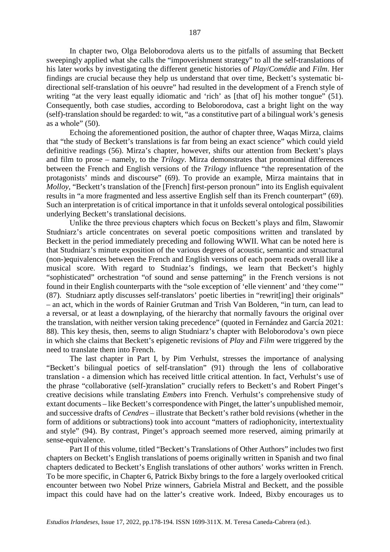In chapter two, Olga Beloborodova alerts us to the pitfalls of assuming that Beckett sweepingly applied what she calls the "impoverishment strategy" to all the self-translations of his later works by investigating the different genetic histories of *Play*/*Comédie* and *Film*. Her findings are crucial because they help us understand that over time, Beckett's systematic bidirectional self-translation of his oeuvre" had resulted in the development of a French style of writing "at the very least equally idiomatic and 'rich' as [that of] his mother tongue" (51). Consequently, both case studies, according to Beloborodova, cast a bright light on the way (self)-translation should be regarded: to wit, "as a constitutive part of a bilingual work's genesis as a whole"  $(50)$ .

Echoing the aforementioned position, the author of chapter three, Waqas Mirza, claims that "the study of Beckett's translations is far from being an exact science" which could yield definitive readings (56). Mirza's chapter, however, shifts our attention from Beckett's plays and film to prose – namely, to the *Trilogy*. Mirza demonstrates that pronominal differences between the French and English versions of the *Trilogy* influence "the representation of the protagonists' minds and discourse" (69). To provide an example, Mirza maintains that in *Molloy*, "Beckett's translation of the [French] first-person pronoun" into its English equivalent results in "a more fragmented and less assertive English self than its French counterpart" (69). Such an interpretation is of critical importance in that it unfolds several ontological possibilities underlying Beckett's translational decisions.

Unlike the three previous chapters which focus on Beckett's plays and film, Sławomir Studniarz's article concentrates on several poetic compositions written and translated by Beckett in the period immediately preceding and following WWII. What can be noted here is that Studniarz's minute exposition of the various degrees of acoustic, semantic and struactural (non-)equivalences between the French and English versions of each poem reads overall like a musical score. With regard to Studniaz's findings, we learn that Beckett's highly "sophisticated" orchestration "of sound and sense patterning" in the French versions is not found in their English counterparts with the "sole exception of 'elle viennent' and 'they come'" (87). Studniarz aptly discusses self-translators' poetic liberties in "rewrit[ing] their originals" – an act, which in the words of Rainier Grutman and Trish Van Bolderen, "in turn, can lead to a reversal, or at least a downplaying, of the hierarchy that normally favours the original over the translation, with neither version taking precedence" (quoted in Fernández and García 2021: 88). This key thesis, then, seems to align Studniarz's chapter with Beloborodova's own piece in which she claims that Beckett's epigenetic revisions of *Play* and *Film* were triggered by the need to translate them into French.

The last chapter in Part I, by Pim Verhulst, stresses the importance of analysing "Beckett's bilingual poetics of self-translation" (91) through the lens of collaborative translation - a dimension which has received little critical attention. In fact, Verhulst's use of the phrase "collaborative (self-)translation" crucially refers to Beckett's and Robert Pinget's creative decisions while translating *Embers* into French. Verhulst's comprehensive study of extant documents – like Beckett's correspondence with Pinget, the latter's unpublished memoir, and successive drafts of *Cendres* – illustrate that Beckett's rather bold revisions (whether in the form of additions or subtractions) took into account "matters of radiophonicity, intertextuality and style" (94). By contrast, Pinget's approach seemed more reserved, aiming primarily at sense-equivalence.

Part II of this volume, titled "Beckett's Translations of Other Authors" includes two first chapters on Beckett's English translations of poems originally written in Spanish and two final chapters dedicated to Beckett's English translations of other authors' works written in French. To be more specific, in Chapter 6, Patrick Bixby brings to the fore a largely overlooked critical encounter between two Nobel Prize winners, Gabriela Mistral and Beckett, and the possible impact this could have had on the latter's creative work. Indeed, Bixby encourages us to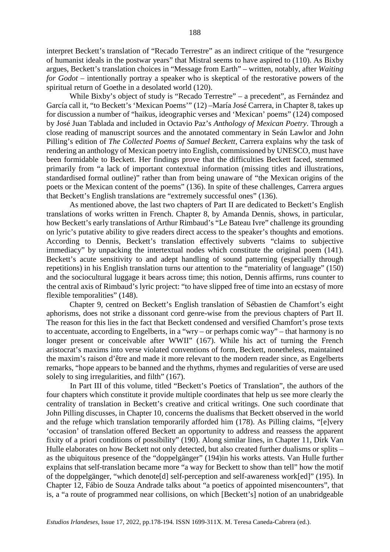interpret Beckett's translation of "Recado Terrestre" as an indirect critique of the "resurgence of humanist ideals in the postwar years" that Mistral seems to have aspired to (110). As Bixby argues, Beckett's translation choices in "Message from Earth" – written, notably, after *Waiting for Godot –* intentionally portray a speaker who is skeptical of the restorative powers of the spiritual return of Goethe in a desolated world (120).

While Bixby's object of study is "Recado Terrestre" – a precedent", as Fernández and García call it, "to Beckett's 'Mexican Poems'" (12) –María José Carrera, in Chapter 8, takes up for discussion a number of "haikus, ideographic verses and 'Mexican' poems" (124) composed by José Juan Tablada and included in Octavio Paz's *Anthology of Mexican Poetry*. Through a close reading of manuscript sources and the annotated commentary in Seán Lawlor and John Pilling's edition of *The Collected Poems of Samuel Beckett*, Carrera explains why the task of rendering an anthology of Mexican poetry into English, commissioned by UNESCO, must have been formidable to Beckett. Her findings prove that the difficulties Beckett faced, stemmed primarily from "a lack of important contextual information (missing titles and illustrations, standardised formal outline)" rather than from being unaware of "the Mexican origins of the poets or the Mexican content of the poems" (136). In spite of these challenges, Carrera argues that Beckett's English translations are "extremely successful ones" (136).

As mentioned above, the last two chapters of Part II are dedicated to Beckett's English translations of works written in French. Chapter 8, by Amanda Dennis, shows, in particular, how Beckett's early translations of Arthur Rimbaud's "Le Bateau Ivre" challenge its grounding on lyric's putative ability to give readers direct access to the speaker's thoughts and emotions. According to Dennis, Beckett's translation effectively subverts "claims to subjective immediacy" by unpacking the intertextual nodes which constitute the original poem (141). Beckett's acute sensitivity to and adept handling of sound patterning (especially through repetitions) in his English translation turns our attention to the "materiality of language" (150) and the sociocultural luggage it bears across time; this notion, Dennis affirms, runs counter to the central axis of Rimbaud's lyric project: "to have slipped free of time into an ecstasy of more flexible temporalities" (148).

Chapter 9, centred on Beckett's English translation of Sébastien de Chamfort's eight aphorisms, does not strike a dissonant cord genre-wise from the previous chapters of Part II. The reason for this lies in the fact that Beckett condensed and versified Chamfort's prose texts to accentuate, according to Engelberts, in a "wry – or perhaps comic way" – that harmony is no longer present or conceivable after WWII" (167). While his act of turning the French aristocrat's maxims into verse violated conventions of form, Beckett, nonetheless, maintained the maxim's raison d'être and made it more relevant to the modern reader since, as Engelberts remarks, "hope appears to be banned and the rhythms, rhymes and regularities of verse are used solely to sing irregularities, and filth" (167).

In Part III of this volume, titled "Beckett's Poetics of Translation", the authors of the four chapters which constitute it provide multiple coordinates that help us see more clearly the centrality of translation in Beckett's creative and critical writings. One such coordinate that John Pilling discusses, in Chapter 10, concerns the dualisms that Beckett observed in the world and the refuge which translation temporarily afforded him (178). As Pilling claims, "[e]very 'occasion' of translation offered Beckett an opportunity to address and reassess the apparent fixity of a priori conditions of possibility" (190). Along similar lines, in Chapter 11, Dirk Van Hulle elaborates on how Beckett not only detected, but also created further dualisms or splits – as the ubiquitous presence of the "doppelgänger" (194)in his works attests. Van Hulle further explains that self-translation became more "a way for Beckett to show than tell" how the motif of the doppelgänger, "which denote[d] self-perception and self-awareness work[ed]" (195). In Chapter 12, Fábio de Souza Andrade talks about "a poetics of appointed misencounters", that is, a "a route of programmed near collisions, on which [Beckett's] notion of an unabridgeable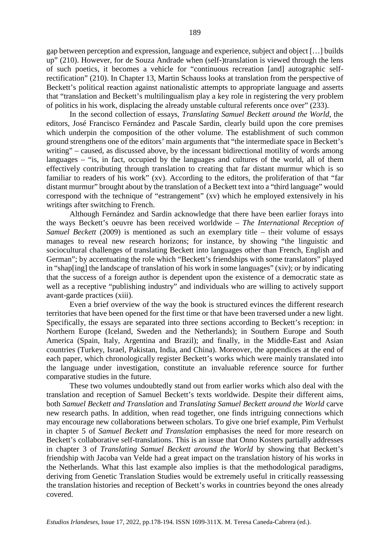gap between perception and expression, language and experience, subject and object […] builds up" (210). However, for de Souza Andrade when (self-)translation is viewed through the lens of such poetics, it becomes a vehicle for "continuous recreation [and] autographic selfrectification" (210). In Chapter 13, Martin Schauss looks at translation from the perspective of Beckett's political reaction against nationalistic attempts to appropriate language and asserts that "translation and Beckett's multilingualism play a key role in registering the very problem of politics in his work, displacing the already unstable cultural referents once over" (233).

In the second collection of essays, *Translating Samuel Beckett around the World*, the editors, José Francisco Fernández and Pascale Sardin, clearly build upon the core premises which underpin the composition of the other volume. The establishment of such common ground strengthens one of the editors' main arguments that "the intermediate space in Beckett's writing" – caused, as discussed above, by the incessant bidirectional motility of words among languages – "is, in fact, occupied by the languages and cultures of the world, all of them effectively contributing through translation to creating that far distant murmur which is so familiar to readers of his work" (xv). According to the editors, the proliferation of that "far distant murmur" brought about by the translation of a Beckett text into a "third language" would correspond with the technique of "estrangement" (xv) which he employed extensively in his writings after switching to French.

Although Fernández and Sardin acknowledge that there have been earlier forays into the ways Beckett's oeuvre has been received worldwide – *The International Reception of Samuel Beckett* (2009) is mentioned as such an exemplary title – their volume of essays manages to reveal new research horizons; for instance, by showing "the linguistic and sociocultural challenges of translating Beckett into languages other than French, English and German"; by accentuating the role which "Beckett's friendships with some translators" played in "shap[ing] the landscape of translation of his work in some languages" (xiv); or by indicating that the success of a foreign author is dependent upon the existence of a democratic state as well as a receptive "publishing industry" and individuals who are willing to actively support avant-garde practices (xiii).

Even a brief overview of the way the book is structured evinces the different research territories that have been opened for the first time or that have been traversed under a new light. Specifically, the essays are separated into three sections according to Beckett's reception: in Northern Europe (Iceland, Sweden and the Netherlands); in Southern Europe and South America (Spain, Italy, Argentina and Brazil); and finally, in the Middle-East and Asian countries (Turkey, Israel, Pakistan, India, and China). Moreover, the appendices at the end of each paper, which chronologically register Beckett's works which were mainly translated into the language under investigation, constitute an invaluable reference source for further comparative studies in the future.

These two volumes undoubtedly stand out from earlier works which also deal with the translation and reception of Samuel Beckett's texts worldwide. Despite their different aims, both *Samuel Beckett and Translation* and *Translating Samuel Beckett around the World* carve new research paths. In addition, when read together, one finds intriguing connections which may encourage new collaborations between scholars. To give one brief example, Pim Verhulst in chapter 5 of *Samuel Beckett and Translation* emphasises the need for more research on Beckett's collaborative self-translations. This is an issue that Onno Kosters partially addresses in chapter 3 of *Translating Samuel Beckett around the World* by showing that Beckett's friendship with Jacoba van Velde had a great impact on the translation history of his works in the Netherlands. What this last example also implies is that the methodological paradigms, deriving from Genetic Translation Studies would be extremely useful in critically reassessing the translation histories and reception of Beckett's works in countries beyond the ones already covered.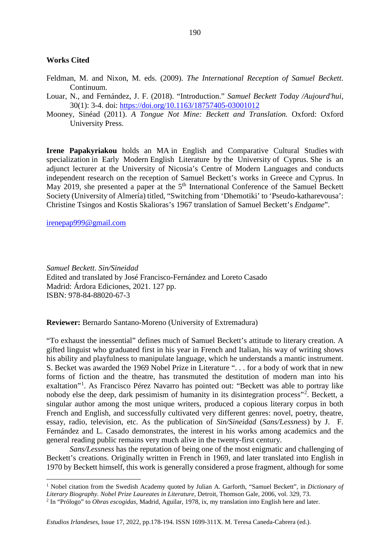#### **Works Cited**

- Feldman, M. and Nixon, M. eds. (2009). *The International Reception of Samuel Beckett*. Continuum.
- Louar, N., and Fernández, J. F. (2018). "Introduction." *Samuel Beckett Today /Aujourd'hui*, 30(1): 3-4. doi:<https://doi.org/10.1163/18757405-03001012>
- Mooney, Sinéad (2011). *A Tongue Not Mine: Beckett and Translation.* Oxford: Oxford University Press.

**Irene Papakyriakou** holds an MA in English and Comparative Cultural Studies with specialization in Early Modern English Literature by the University of Cyprus. She is an adjunct lecturer at the University of Nicosia's Centre of Modern Languages and conducts independent research on the reception of Samuel Beckett's works in Greece and Cyprus. In May 2019, she presented a paper at the 5<sup>th</sup> International Conference of the Samuel Beckett Society (University of Almería) titled, "Switching from 'Dhemotiki' to 'Pseudo-katharevousa': Christine Tsingos and Kostis Skalioras's 1967 translation of Samuel Beckett's *Endgame*".

#### [irenepap999@gmail.com](mailto:irenepap999@gmail.com)

*Samuel Beckett. Sin/Sineidad* Edited and translated by José Francisco-Fernández and Loreto Casado Madrid: Árdora Ediciones, 2021. 127 pp. ISBN: 978-84-88020-67-3

**Reviewer:** Bernardo Santano-Moreno (University of Extremadura)

"To exhaust the inessential" defines much of Samuel Beckett's attitude to literary creation. A gifted linguist who graduated first in his year in French and Italian, his way of writing shows his ability and playfulness to manipulate language, which he understands a mantic instrument. S. Becket was awarded the 1969 Nobel Prize in Literature ". . . for a body of work that in new forms of fiction and the theatre, has transmuted the destitution of modern man into his exaltation"<sup>[1](#page-12-0)</sup>. As Francisco Pérez Navarro has pointed out: "Beckett was able to portray like nobody else the deep, dark pessimism of humanity in its disintegration process"<sup>[2](#page-12-1)</sup>. Beckett, a singular author among the most unique writers, produced a copious literary corpus in both French and English, and successfully cultivated very different genres: novel, poetry, theatre, essay, radio, television, etc. As the publication of *Sin/Sineidad* (*Sans/Lessness*) by J. F. Fernández and L. Casado demonstrates, the interest in his works among academics and the general reading public remains very much alive in the twenty-first century.

*Sans/Lessness* has the reputation of being one of the most enigmatic and challenging of Beckett's creations. Originally written in French in 1969, and later translated into English in 1970 by Beckett himself, this work is generally considered a prose fragment, although for some

<span id="page-12-0"></span> <sup>1</sup> Nobel citation from the Swedish Academy quoted by Julian A. Garforth, "Samuel Beckett", in *Dictionary of Literary Biography. Nobel Prize Laureates in Literature*, Detroit, Thomson Gale, 2006, vol. 329, 73.

<span id="page-12-1"></span><sup>2</sup> In "Prólogo" to *Obras escogidas*, Madrid, Aguilar, 1978, ix, my translation into English here and later.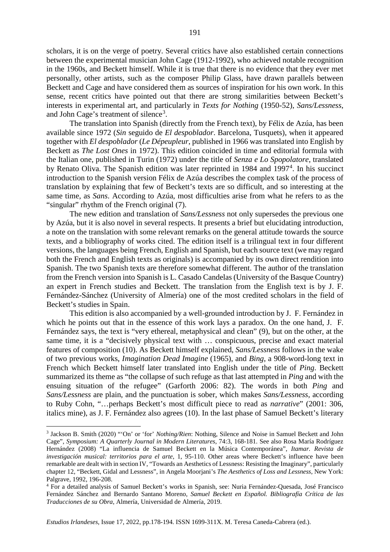scholars, it is on the verge of poetry. Several critics have also established certain connections between the experimental musician John Cage (1912-1992), who achieved notable recognition in the 1960s, and Beckett himself. While it is true that there is no evidence that they ever met personally, other artists, such as the composer Philip Glass, have drawn parallels between Beckett and Cage and have considered them as sources of inspiration for his own work. In this sense, recent critics have pointed out that there are strong similarities between Beckett's interests in experimental art, and particularly in *Texts for Nothing* (1950-52), *Sans/Lessness*, and John Cage's treatment of silence<sup>[3](#page-13-0)</sup>.

The translation into Spanish (directly from the French text), by Félix de Azúa, has been available since 1972 (*Sin* seguido de *El despoblador*. Barcelona, Tusquets), when it appeared together with *El despoblador* (*Le Dépeupleur*, published in 1966 was translated into English by Beckett as *The Lost Ones* in 1972). This edition coincided in time and editorial formula with the Italian one, published in Turin (1972) under the title of *Senza e Lo Spopolatore*, translated by Renato Oliva. The Spanish edition was later reprinted in 198[4](#page-13-1) and 1997<sup>4</sup>. In his succinct introduction to the Spanish version Félix de Azúa describes the complex task of the process of translation by explaining that few of Beckett's texts are so difficult, and so interesting at the same time, as *Sans*. According to Azúa, most difficulties arise from what he refers to as the "singular" rhythm of the French original (7).

The new edition and translation of *Sans/Lessness* not only supersedes the previous one by Azúa, but it is also novel in several respects. It presents a brief but elucidating introduction, a note on the translation with some relevant remarks on the general attitude towards the source texts, and a bibliography of works cited. The edition itself is a trilingual text in four different versions, the languages being French, English and Spanish, but each source text (we may regard both the French and English texts as originals) is accompanied by its own direct rendition into Spanish. The two Spanish texts are therefore somewhat different. The author of the translation from the French version into Spanish is L. Casado Candelas (University of the Basque Country) an expert in French studies and Beckett. The translation from the English text is by J. F. Fernández-Sánchez (University of Almería) one of the most credited scholars in the field of Beckett's studies in Spain.

This edition is also accompanied by a well-grounded introduction by J. F. Fernández in which he points out that in the essence of this work lays a paradox. On the one hand, J. F. Fernández says, the text is "very ethereal, metaphysical and clean" (9), but on the other, at the same time, it is a "decisively physical text with … conspicuous, precise and exact material features of composition (10). As Beckett himself explained, *Sans/Lessness* follows in the wake of two previous works, *Imagination Dead Imagine* (1965), and *Bing*, a 908-word-long text in French which Beckett himself later translated into English under the title of *Ping*. Beckett summarized its theme as "the collapse of such refuge as that last attempted in *Ping* and with the ensuing situation of the refugee" (Garforth 2006: 82). The words in both *Ping* and *Sans/Lessness* are plain, and the punctuation is sober, which makes *Sans/Lessness*, according to Ruby Cohn, "…perhaps Beckett's most difficult piece to read as *narrative*" (2001: 306, italics mine), as J. F. Fernández also agrees (10). In the last phase of Samuel Beckett's literary

<span id="page-13-0"></span> <sup>3</sup> Jackson B. Smith (2020) "'On' or 'for' *Nothing/Rien*: Nothing, Silence and Noise in Samuel Beckett and John Cage", *Symposium: A Quarterly Journal in Modern Literatures*, 74:3, 168-181. See also Rosa María Rodríguez Hernández (2008) "La influencia de Samuel Beckett en la Música Contemporánea", *Itamar. Revista de investigación musical: territorios para el arte*, 1, 95-110. Other areas where Beckett's influence have been remarkable are dealt with in section IV, "Towards an Aesthetics of Lessness: Resisting the Imaginary", particularly chapter 12, "Beckett, Gidal and Lessness", in Angela Moorjani's *The Aesthetics of Loss and Lessness*, New York: Palgrave, 1992, 196-208.

<span id="page-13-1"></span><sup>4</sup> For a detailed analysis of Samuel Beckett's works in Spanish, see: Nuria Fernández-Quesada, José Francisco Fernández Sánchez and Bernardo Santano Moreno, *Samuel Beckett en Español. Bibliografía Crítica de las Traducciones de su Obra*, Almería, Universidad de Almería, 2019.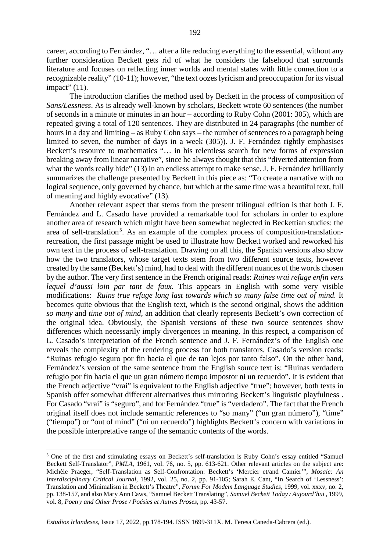career, according to Fernández, "… after a life reducing everything to the essential, without any further consideration Beckett gets rid of what he considers the falsehood that surrounds literature and focuses on reflecting inner worlds and mental states with little connection to a recognizable reality" (10-11); however, "the text oozes lyricism and preoccupation for its visual impact" (11).

The introduction clarifies the method used by Beckett in the process of composition of *Sans/Lessness*. As is already well-known by scholars, Beckett wrote 60 sentences (the number of seconds in a minute or minutes in an hour – according to Ruby Cohn (2001: 305), which are repeated giving a total of 120 sentences. They are distributed in 24 paragraphs (the number of hours in a day and limiting – as Ruby Cohn says – the number of sentences to a paragraph being limited to seven, the number of days in a week (305)). J. F. Fernández rightly emphasises Beckett's resource to mathematics "… in his relentless search for new forms of expression breaking away from linear narrative", since he always thought that this "diverted attention from what the words really hide" (13) in an endless attempt to make sense. J. F. Fernández brilliantly summarizes the challenge presented by Beckett in this piece as: "To create a narrative with no logical sequence, only governed by chance, but which at the same time was a beautiful text, full of meaning and highly evocative" (13).

Another relevant aspect that stems from the present trilingual edition is that both J. F. Fernández and L. Casado have provided a remarkable tool for scholars in order to explore another area of research which might have been somewhat neglected in Beckettian studies: the area of self-translation<sup>[5](#page-14-0)</sup>. As an example of the complex process of composition-translationrecreation, the first passage might be used to illustrate how Beckett worked and reworked his own text in the process of self-translation. Drawing on all this, the Spanish versions also show how the two translators, whose target texts stem from two different source texts, however created by the same (Beckett's) mind, had to deal with the different nuances of the words chosen by the author. The very first sentence in the French original reads: *Ruines vrai refuge enfin vers lequel d'aussi loin par tant de faux.* This appears in English with some very visible modifications: *Ruins true refuge long last towards which so many false time out of mind.* It becomes quite obvious that the English text, which is the second original, shows the addition *so many* and *time out of mind,* an addition that clearly represents Beckett's own correction of the original idea. Obviously, the Spanish versions of these two source sentences show differences which necessarily imply divergences in meaning. In this respect, a comparison of L. Casado's interpretation of the French sentence and J. F. Fernández's of the English one reveals the complexity of the rendering process for both translators. Casado's version reads: "Ruinas refugio seguro por fin hacia el que de tan lejos por tanto falso". On the other hand, Fernández's version of the same sentence from the English source text is: "Ruinas verdadero refugio por fin hacia el que un gran número tiempo impostor ni un recuerdo". It is evident that the French adjective "vrai" is equivalent to the English adjective "true"; however, both texts in Spanish offer somewhat different alternatives thus mirroring Beckett's linguistic playfulness . For Casado "vrai" is "seguro", and for Fernández "true" is "verdadero". The fact that the French original itself does not include semantic references to "so many" ("un gran número"), "time" ("tiempo") or "out of mind" ("ni un recuerdo") highlights Beckett's concern with variations in the possible interpretative range of the semantic contents of the words.

<span id="page-14-0"></span> <sup>5</sup> One of the first and stimulating essays on Beckett's self-translation is Ruby Cohn's essay entitled "Samuel Beckett Self-Translator", *PMLA*, 1961, vol. 76, no. 5, pp. 613-621. Other relevant articles on the subject are: Michèle Praeger, "Self-Translation as Self-Confrontation: Beckett's 'Mercier et/and Camier'", *Mosaic: An Interdisciplinary Critical Journal*, 1992, vol. 25, no. 2, pp. 91-105; Sarah E. Cant, "In Search of 'Lessness': Translation and Minimalism in Beckett's Theatre", *Forum For Modem Language Studies*, 1999, vol. xxxv, no. 2, pp. 138-157, and also Mary Ann Caws, "Samuel Beckett Translating", *Samuel Beckett Today / Aujourd'hui* , 1999, vol. 8, *Poetry and Other Prose / Poésies et Autres Proses*, pp. 43-57.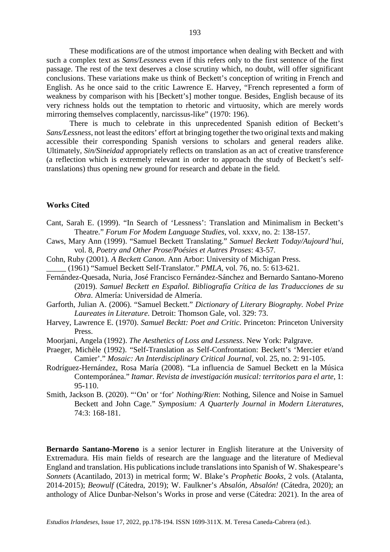These modifications are of the utmost importance when dealing with Beckett and with such a complex text as *Sans/Lessness* even if this refers only to the first sentence of the first passage. The rest of the text deserves a close scrutiny which, no doubt, will offer significant conclusions. These variations make us think of Beckett's conception of writing in French and English. As he once said to the critic Lawrence E. Harvey, "French represented a form of weakness by comparison with his [Beckett's] mother tongue. Besides, English because of its very richness holds out the temptation to rhetoric and virtuosity, which are merely words mirroring themselves complacently, narcissus-like" (1970: 196).

There is much to celebrate in this unprecedented Spanish edition of Beckett's *Sans/Lessness*, not least the editors' effort at bringing together the two original texts and making accessible their corresponding Spanish versions to scholars and general readers alike. Ultimately, *Sin/Sineidad* appropriately reflects on translation as an act of creative transference (a reflection which is extremely relevant in order to approach the study of Beckett's selftranslations) thus opening new ground for research and debate in the field.

### **Works Cited**

- Cant, Sarah E. (1999). "In Search of 'Lessness': Translation and Minimalism in Beckett's Theatre." *Forum For Modem Language Studies*, vol. xxxv, no. 2: 138-157.
- Caws, Mary Ann (1999). "Samuel Beckett Translating." *Samuel Beckett Today/Aujourd'hui*, vol. 8, *Poetry and Other Prose/Poésies et Autres Proses*: 43-57.
- Cohn, Ruby (2001). *A Beckett Canon*. Ann Arbor: University of Michigan Press. \_\_\_\_\_ (1961) "Samuel Beckett Self-Translator." *PMLA*, vol. 76, no. 5: 613-621.
- Fernández-Quesada, Nuria, José Francisco Fernández-Sánchez and Bernardo Santano-Moreno (2019). *Samuel Beckett en Español. Bibliografía Crítica de las Traducciones de su Obra*. Almería: Universidad de Almería.
- Garforth, Julian A. (2006). "Samuel Beckett." *Dictionary of Literary Biography. Nobel Prize Laureates in Literature*. Detroit: Thomson Gale, vol. 329: 73.
- Harvey, Lawrence E. (1970). *Samuel Becktt: Poet and Critic*. Princeton: Princeton University Press.
- Moorjani, Angela (1992). *The Aesthetics of Loss and Lessness*. New York: Palgrave.
- Praeger, Michèle (1992). "Self-Translation as Self-Confrontation: Beckett's 'Mercier et/and Camier'." *Mosaic: An Interdisciplinary Critical Journal*, vol. 25, no. 2: 91-105.
- Rodríguez-Hernández, Rosa María (2008). "La influencia de Samuel Beckett en la Música Contemporánea." *Itamar. Revista de investigación musical: territorios para el arte*, 1: 95-110.
- Smith, Jackson B. (2020). "'On' or 'for' *Nothing/Rien*: Nothing, Silence and Noise in Samuel Beckett and John Cage." *Symposium: A Quarterly Journal in Modern Literatures*, 74:3: 168-181.

**Bernardo Santano-Moreno** is a senior lecturer in English literature at the University of Extremadura. His main fields of research are the language and the literature of Medieval England and translation. His publications include translations into Spanish of W. Shakespeare's *Sonnets* (Acantilado, 2013) in metrical form; W. Blake's *Prophetic Books*, 2 vols. (Atalanta, 2014-2015); *Beowulf* (Cátedra, 2019); W. Faulkner's *Absalón, Absalón!* (Cátedra, 2020); an anthology of Alice Dunbar-Nelson's Works in prose and verse (Cátedra: 2021). In the area of